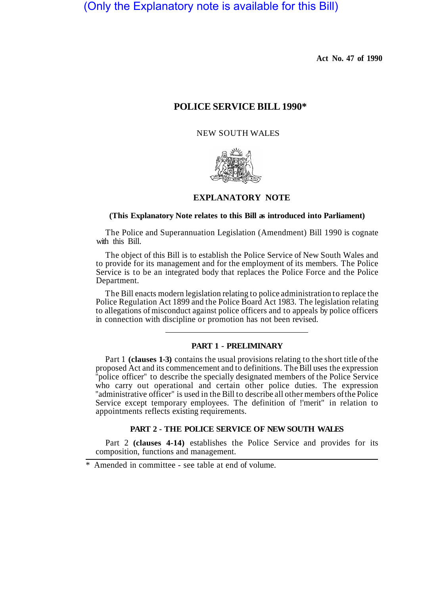(Only the Explanatory note is available for this Bill)

**Act No. 47 of 1990** 

# **POLICE SERVICE BILL 1990\***

## NEW SOUTH WALES



# **EXPLANATORY NOTE**

## **(This Explanatory Note relates to this Bill as introduced into Parliament)**

The Police and Superannuation Legislation (Amendment) Bill 1990 is cognate with this Bill.

The object of this Bill is to establish the Police Service of New South Wales and to provide for its management and for the employment of its members. The Police Service is to be an integrated body that replaces the Police Force and the Police Department.

The Bill enacts modern legislation relating to police administration to replace the Police Regulation Act 1899 and the Police Board Act 1983. The legislation relating to allegations of misconduct against police officers and to appeals by police officers in connection with discipline or promotion has not been revised.

## **PART 1 - PRELIMINARY**

Part 1 **(clauses 1-3)** contains the usual provisions relating to the short title of the proposed Act and its commencement and to definitions. The Bill uses the expression police officer" to describe the specially designated members of the Police Service who carry out operational and certain other police duties. The expression "administrative officer" is used in the Bill to describe all other members of the Police Service except temporary employees. The definition of !'merit" in relation to appointments reflects existing requirements.

#### **PART 2 - THE POLICE SERVICE OF NEW SOUTH WALES**

Part 2 **(clauses 4-14)** establishes the Police Service and provides for its composition, functions and management.

Amended in committee - see table at end of volume.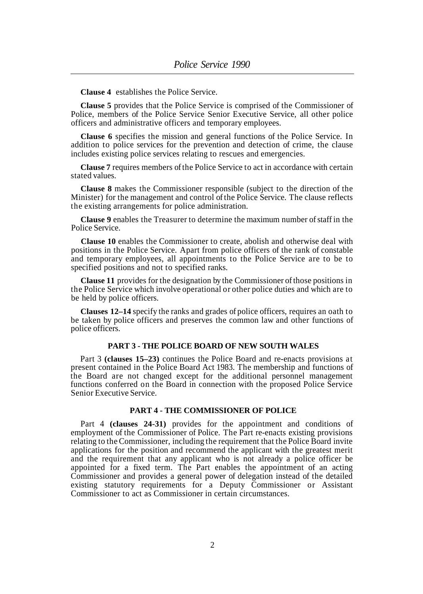**Clause 4** establishes the Police Service.

**Clause 5** provides that the Police Service is comprised of the Commissioner of Police, members of the Police Service Senior Executive Service, all other police officers and administrative officers and temporary employees.

**Clause 6** specifies the mission and general functions of the Police Service. In addition to police services for the prevention and detection of crime, the clause includes existing police services relating to rescues and emergencies.

**Clause 7** requires members of the Police Service to act in accordance with certain stated values.

**Clause 8** makes the Commissioner responsible (subject to the direction of the Minister) for the management and control of the Police Service. The clause reflects the existing arrangements for police administration.

**Clause 9** enables the Treasurer to determine the maximum number of staff in the Police Service.

**Clause 10** enables the Commissioner to create, abolish and otherwise deal with positions in the Police Service. Apart from police officers of the rank of constable and temporary employees, all appointments to the Police Service are to be to specified positions and not to specified ranks.

**Clause 11** provides for the designation by the Commissioner of those positions in the Police Service which involve operational or other police duties and which are to be held by police officers.

**Clauses 12–14** specify the ranks and grades of police officers, requires an oath to be taken by police officers and preserves the common law and other functions of police officers.

## **PART 3 - THE POLICE BOARD OF NEW SOUTH WALES**

Part 3 **(clauses 15–23)** continues the Police Board and re-enacts provisions at present contained in the Police Board Act 1983. The membership and functions of the Board are not changed except for the additional personnel management functions conferred on the Board in connection with the proposed Police Service Senior Executive Service.

## **PART 4 - THE COMMISSIONER OF POLICE**

Part 4 **(clauses 24-31)** provides for the appointment and conditions of employment of the Commissioner of Police. The Part re-enacts existing provisions relating to the Commissioner, including the requirement that the Police Board invite applications for the position and recommend the applicant with the greatest merit and the requirement that any applicant who is not already a police officer be appointed for a fixed term. The Part enables the appointment of an acting Commissioner and provides a general power of delegation instead of the detailed existing statutory requirements for a Deputy Commissioner or Assistant Commissioner to act as Commissioner in certain circumstances.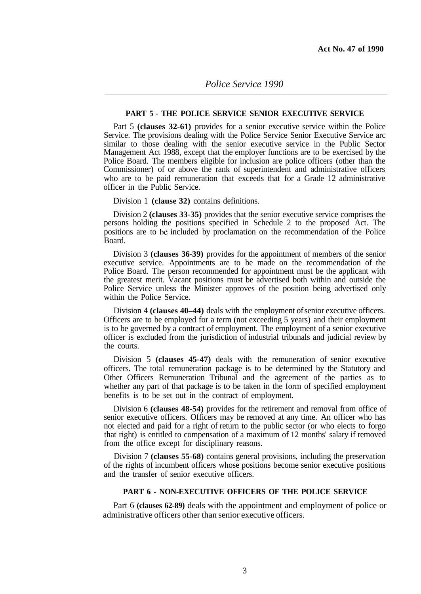# *Police Service 1990*

## **PART 5 - THE POLICE SERVICE SENIOR EXECUTIVE SERVICE**

Part 5 **(clauses 32-61)** provides for a senior executive service within the Police Service. The provisions dealing with the Police Service Senior Executive Service arc similar to those dealing with the senior executive service in the Public Sector Management Act 1988, except that the employer functions are to be exercised by the Police Board. The members eligible for inclusion are police officers (other than the Commissioner) of or above the rank of superintendent and administrative officers who are to be paid remuneration that exceeds that for a Grade 12 administrative officer in the Public Service.

Division 1 **(clause 32)** contains definitions.

Division 2 **(clauses 33-35)** provides that the senior executive service comprises the persons holding the positions specified in Schedule 2 to the proposed Act. The positions are to included by proclamation on the recommendation of the Police Board.

Division 3 **(clauses 36-39)** provides for the appointment of members of the senior executive service. Appointments are to be made on the recommendation of the Police Board. The person recommended for appointment must be the applicant with the greatest merit. Vacant positions must be advertised both within and outside the Police Service unless the Minister approves of the position being advertised only within the Police Service.

Division 4 **(clauses 40–44)** deals with the employment of senior executive officers. Officers are to be employed for a term (not exceeding 5 years) and their employment is to be governed by a contract of employment. The employment of a senior executive officer is excluded from the jurisdiction of industrial tribunals and judicial review by the courts.

Division 5 **(clauses 45-47)** deals with the remuneration of senior executive officers. The total remuneration package is to be determined by the Statutory and Other Officers Remuneration Tribunal and the agreement of the parties as to whether any part of that package is to be taken in the form of specified employment benefits is to be set out in the contract of employment.

Division 6 **(clauses 48-54)** provides for the retirement and removal from office of senior executive officers. Officers may be removed at any time. An officer who has not elected and paid for a right of return to the public sector (or who elects to forgo that right) is entitled to compensation of a maximum of 12 months' salary if removed from the office except for disciplinary reasons.

Division 7 **(clauses 55-68)** contains general provisions, including the preservation of the rights of incumbent officers whose positions become senior executive positions and the transfer of senior executive officers.

## **PART 6 - NON-EXECUTIVE OFFICERS OF THE POLICE SERVICE**

Part 6 **(clauses 62-89)** deals with the appointment and employment of police or administrative officers other than senior executive officers.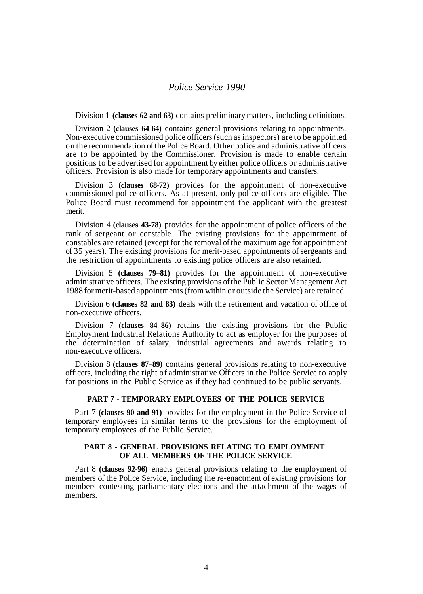Division 1 **(clauses 62 and 63)** contains preliminary matters, including definitions.

Division 2 **(clauses 64-64)** contains general provisions relating to appointments. Non-executive commissioned police officers (such as inspectors) are to be appointed on the recommendation of the Police Board. Other police and administrative officers are to be appointed by the Commissioner. Provision is made to enable certain positions to be advertised for appointment by either police officers or administrative officers. Provision is also made for temporary appointments and transfers.

Division 3 **(clauses 68-72)** provides for the appointment of non-executive commissioned police officers. As at present, only police officers are eligible. The Police Board must recommend for appointment the applicant with the greatest merit.

Division 4 **(clauses 43-78)** provides for the appointment of police officers of the rank of sergeant or constable. The existing provisions for the appointment of constables are retained (except for the removal of the maximum age for appointment of 35 years). The existing provisions for merit-based appointments of sergeants and the restriction of appointments to existing police officers are also retained.

Division 5 **(clauses 79–81)** provides for the appointment of non-executive administrative officers. The existing provisions of the Public Sector Management Act 1988 for merit-based appointments (from within or outside the Service) are retained.

Division 6 **(clauses 82 and 83)** deals with the retirement and vacation of office of non-executive officers.

Division 7 **(clauses 84–86)** retains the existing provisions for the Public Employment Industrial Relations Authority to act as employer for the purposes of the determination of salary, industrial agreements and awards relating to non-executive officers.

Division 8 **(clauses 87–89)** contains general provisions relating to non-executive officers, including the right of administrative Officers in the Police Service to apply for positions in the Public Service as if they had continued to be public servants.

## **PART 7 - TEMPORARY EMPLOYEES OF THE POLICE SERVICE**

Part 7 **(clauses 90 and 91)** provides for the employment in the Police Service of temporary employees in similar terms to the provisions for the employment of temporary employees of the Public Service.

## **PART 8 - GENERAL PROVISIONS RELATING TO EMPLOYMENT OF ALL MEMBERS OF THE POLICE SERVICE**

Part 8 **(clauses 92-96)** enacts general provisions relating to the employment of members of the Police Service, including the re-enactment of existing provisions for members contesting parliamentary elections and the attachment of the wages of members.